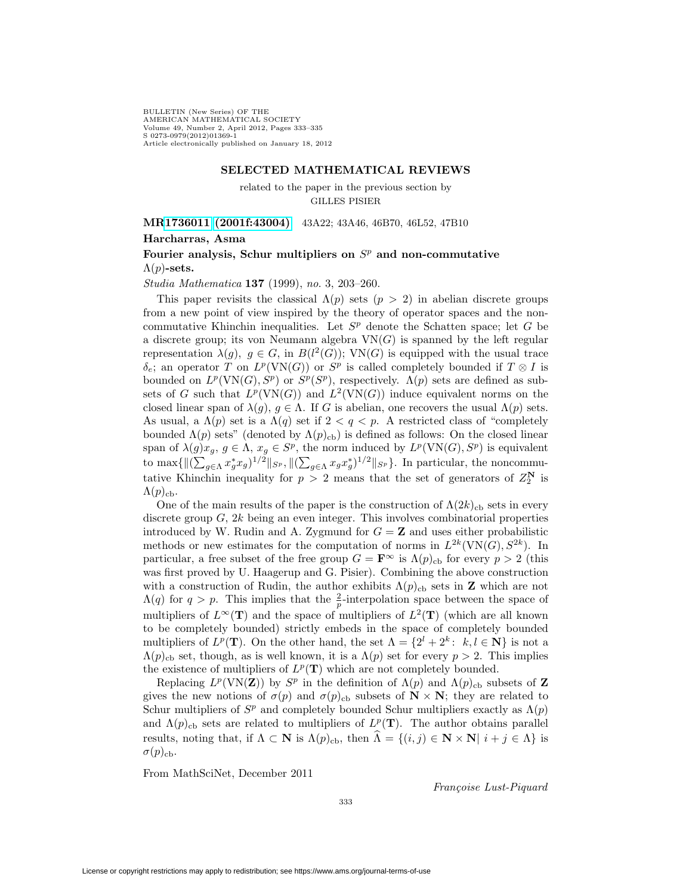BULLETIN (New Series) OF THE AMERICAN MATHEMATICAL SOCIETY Volume 49, Number 2, April 2012, Pages 333–335 S 0273-0979(2012)01369-1 Article electronically published on January 18, 2012

#### **SELECTED MATHEMATICAL REVIEWS**

related to the paper in the previous section by GILLES PISIER

**M[R1736011 \(2001f:43004\)](http://www.ams.org/mathscinet-getitem?mr=1736011)** 43A22; 43A46, 46B70, 46L52, 47B10 **Harcharras, Asma**

### Fourier analysis, Schur multipliers on  $S<sup>p</sup>$  and non-commutative  $\Lambda(p)$ -sets.

Studia Mathematica **137** (1999), no. 3, 203–260.

This paper revisits the classical  $\Lambda(p)$  sets  $(p > 2)$  in abelian discrete groups from a new point of view inspired by the theory of operator spaces and the noncommutative Khinchin inequalities. Let  $S<sup>p</sup>$  denote the Schatten space; let G be a discrete group; its von Neumann algebra  $VN(G)$  is spanned by the left regular representation  $\lambda(g)$ ,  $g \in G$ , in  $B(l^2(G))$ ; VN(G) is equipped with the usual trace  $\delta_{\epsilon}$ ; an operator T on  $L^p(VN(G))$  or  $S^p$  is called completely bounded if  $T \otimes I$  is bounded on  $L^p(\text{VN}(G), S^p)$  or  $S^p(S^p)$ , respectively.  $\Lambda(p)$  sets are defined as subsets of G such that  $L^p(\text{VN}(G))$  and  $L^2(\text{VN}(G))$  induce equivalent norms on the closed linear span of  $\lambda(g)$ ,  $g \in \Lambda$ . If G is abelian, one recovers the usual  $\Lambda(p)$  sets. As usual, a  $\Lambda(p)$  set is a  $\Lambda(q)$  set if  $2 < q < p$ . A restricted class of "completely" bounded  $\Lambda(p)$  sets" (denoted by  $\Lambda(p)_{\text{cb}}$ ) is defined as follows: On the closed linear span of  $\lambda(g)x_g, g \in \Lambda$ ,  $x_g \in S^p$ , the norm induced by  $L^p(\text{VN}(G), S^p)$  is equivalent to max $\{\|\left(\sum_{g\in\Lambda}x_g^*x_g\right)^{1/2}\|_{S^p},\|\left(\sum_{g\in\Lambda}x_gx_g^*\right)^{1/2}\|_{S^p}\}\)$ . In particular, the noncommutative Khinchin inequality for  $p > 2$  means that the set of generators of  $Z_2^N$  is  $\Lambda(p)_{\text{cb}}$ .

One of the main results of the paper is the construction of  $\Lambda(2k)_{\text{cb}}$  sets in every discrete group  $G, 2k$  being an even integer. This involves combinatorial properties introduced by W. Rudin and A. Zygmund for  $G = \mathbf{Z}$  and uses either probabilistic methods or new estimates for the computation of norms in  $L^{2k}(\text{VN}(G), S^{2k})$ . In particular, a free subset of the free group  $G = \mathbf{F}^{\infty}$  is  $\Lambda(p)_{\text{cb}}$  for every  $p > 2$  (this was first proved by U. Haagerup and G. Pisier). Combining the above construction with a construction of Rudin, the author exhibits  $\Lambda(p)_{\text{cb}}$  sets in **Z** which are not  $\Lambda(q)$  for  $q > p$ . This implies that the  $\frac{2}{p}$ -interpolation space between the space of multipliers of  $L^{\infty}(\mathbf{T})$  and the space of multipliers of  $L^{2}(\mathbf{T})$  (which are all known to be completely bounded) strictly embeds in the space of completely bounded multipliers of  $L^p(\mathbf{T})$ . On the other hand, the set  $\Lambda = \{2^l + 2^k: k, l \in \mathbf{N}\}\$ is not a  $\Lambda(p)_{\text{cb}}$  set, though, as is well known, it is a  $\Lambda(p)$  set for every  $p > 2$ . This implies the existence of multipliers of  $L^p(\mathbf{T})$  which are not completely bounded.

Replacing  $L^p(\text{VN}(\mathbf{Z}))$  by  $S^p$  in the definition of  $\Lambda(p)$  and  $\Lambda(p)_{\text{cb}}$  subsets of **Z** gives the new notions of  $\sigma(p)$  and  $\sigma(p)_{\text{cb}}$  subsets of  $\mathbf{N} \times \mathbf{N}$ ; they are related to Schur multipliers of  $S<sup>p</sup>$  and completely bounded Schur multipliers exactly as  $\Lambda(p)$ and  $\Lambda(p)_{\text{cb}}$  sets are related to multipliers of  $L^p(\mathbf{T})$ . The author obtains parallel results, noting that, if  $\Lambda \subset \mathbf{N}$  is  $\Lambda(p)_{\text{cb}}$ , then  $\widehat{\Lambda} = \{(i,j) \in \mathbf{N} \times \mathbf{N} | i + j \in \Lambda\}$  is  $\sigma(p)_{\text{cb}}$ .

From MathSciNet, December 2011

Françoise Lust-Piquard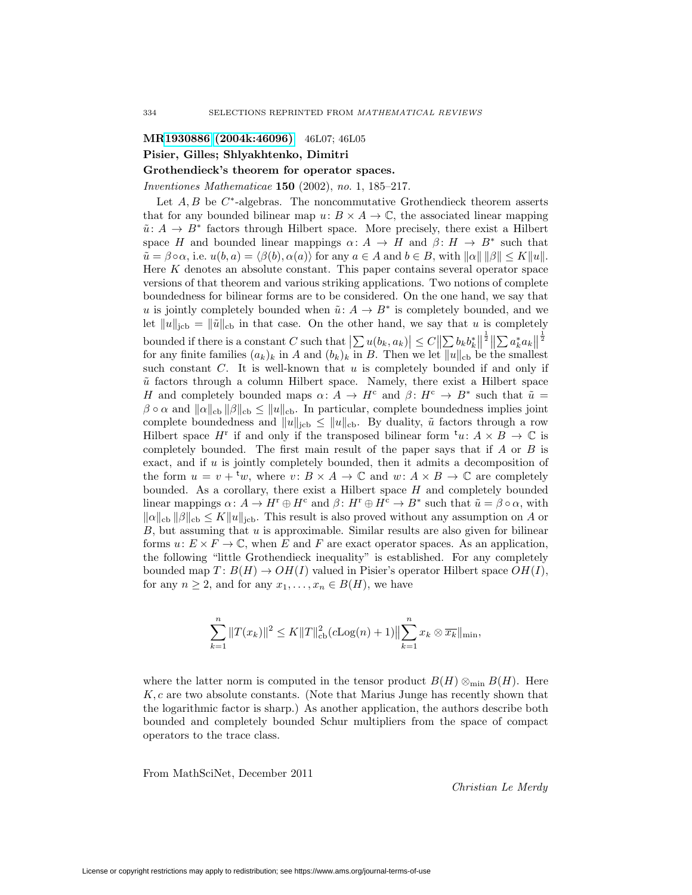# **M[R1930886 \(2004k:46096\)](http://www.ams.org/mathscinet-getitem?mr=1930886)** 46L07; 46L05 **Pisier, Gilles; Shlyakhtenko, Dimitri**

### **Grothendieck's theorem for operator spaces.**

Inventiones Mathematicae **150** (2002), no. 1, 185–217.

Let  $A, B$  be  $C^*$ -algebras. The noncommutative Grothendieck theorem asserts that for any bounded bilinear map  $u: B \times A \to \mathbb{C}$ , the associated linear mapping  $\tilde{u}: A \to B^*$  factors through Hilbert space. More precisely, there exist a Hilbert space H and bounded linear mappings  $\alpha: A \to H$  and  $\beta: H \to B^*$  such that  $\tilde{u} = \beta \circ \alpha$ , i.e.  $u(b, a) = \langle \beta(b), \alpha(a) \rangle$  for any  $a \in A$  and  $b \in B$ , with  $||\alpha|| ||\beta|| \leq K||u||$ . Here K denotes an absolute constant. This paper contains several operator space versions of that theorem and various striking applications. Two notions of complete boundedness for bilinear forms are to be considered. On the one hand, we say that u is jointly completely bounded when  $\tilde{u}: A \to B^*$  is completely bounded, and we let  $||u||_{\text{icb}} = ||\tilde{u}||_{\text{cb}}$  in that case. On the other hand, we say that u is completely bounded if there is a constant C such that  $\left|\sum u(b_k, a_k)\right| \leq C \left\|\sum b_k b_k^*\right\|^{\frac{1}{2}} \left\|\sum a_k^* a_k\right\|^{\frac{1}{2}}$ for any finite families  $(a_k)_k$  in A and  $(b_k)_k$  in B. Then we let  $||u||_{cb}$  be the smallest such constant  $C$ . It is well-known that  $u$  is completely bounded if and only if  $\tilde{u}$  factors through a column Hilbert space. Namely, there exist a Hilbert space H and completely bounded maps  $\alpha: A \to H^c$  and  $\beta: H^c \to B^*$  such that  $\tilde{u} =$  $\beta \circ \alpha$  and  $\|\alpha\|_{cb} \|\beta\|_{cb} \leq \|u\|_{cb}$ . In particular, complete boundedness implies joint complete boundedness and  $||u||_{\text{icb}} \le ||u||_{\text{cb}}$ . By duality,  $\tilde{u}$  factors through a row Hilbert space  $H^r$  if and only if the transposed bilinear form  ${}^{\rm t}u: A \times B \to \mathbb{C}$  is completely bounded. The first main result of the paper says that if  $A$  or  $B$  is exact, and if  $u$  is jointly completely bounded, then it admits a decomposition of the form  $u = v + {}^{\mathfrak{t}}w$ , where  $v : B \times A \to \mathbb{C}$  and  $w : A \times B \to \mathbb{C}$  are completely bounded. As a corollary, there exist a Hilbert space  $H$  and completely bounded linear mappings  $\alpha: A \to H^r \oplus H^c$  and  $\beta: H^r \oplus H^c \to B^*$  such that  $\tilde{u} = \beta \circ \alpha$ , with  $\|\alpha\|_{cb} \|\beta\|_{cb} \leq K \|u\|_{\text{icb}}$ . This result is also proved without any assumption on A or  $B$ , but assuming that  $u$  is approximable. Similar results are also given for bilinear forms  $u: E \times F \to \mathbb{C}$ , when E and F are exact operator spaces. As an application, the following "little Grothendieck inequality" is established. For any completely bounded map  $T: B(H) \to OH(I)$  valued in Pisier's operator Hilbert space  $OH(I)$ , for any  $n \geq 2$ , and for any  $x_1, \ldots, x_n \in B(H)$ , we have

$$
\sum_{k=1}^{n} ||T(x_k)||^2 \le K||T||_{\text{cb}}^2 (c\text{Log}(n) + 1) \Big\| \sum_{k=1}^{n} x_k \otimes \overline{x_k} \Big\|_{\text{min}},
$$

where the latter norm is computed in the tensor product  $B(H) \otimes_{\min} B(H)$ . Here K, c are two absolute constants. (Note that Marius Junge has recently shown that the logarithmic factor is sharp.) As another application, the authors describe both bounded and completely bounded Schur multipliers from the space of compact operators to the trace class.

From MathSciNet, December 2011

Christian Le Merdy